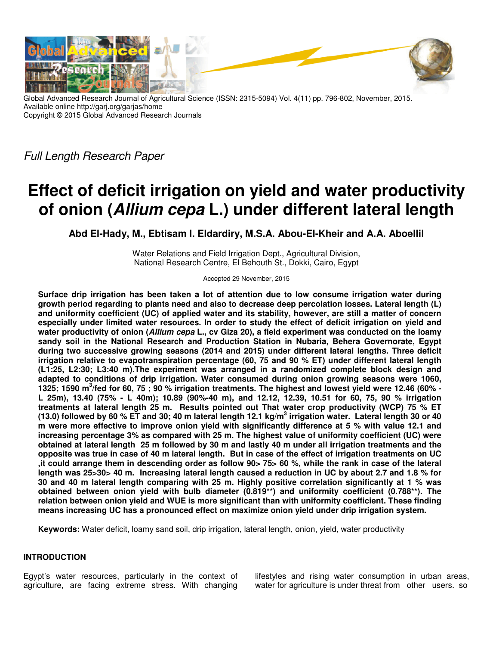

Global Advanced Research Journal of Agricultural Science (ISSN: 2315-5094) Vol. 4(11) pp. 796-802, November, 2015. Available online http://garj.org/garjas/home Copyright © 2015 Global Advanced Research Journals

Full Length Research Paper

# **Effect of deficit irrigation on yield and water productivity of onion (Allium cepa L.) under different lateral length**

**Abd El-Hady, M., Ebtisam I. Eldardiry, M.S.A. Abou-El-Kheir and A.A. Aboellil** 

Water Relations and Field Irrigation Dept., Agricultural Division, National Research Centre, El Behouth St., Dokki, Cairo, Egypt

Accepted 29 November, 2015

**Surface drip irrigation has been taken a lot of attention due to low consume irrigation water during growth period regarding to plants need and also to decrease deep percolation losses. Lateral length (L) and uniformity coefficient (UC) of applied water and its stability, however, are still a matter of concern especially under limited water resources. In order to study the effect of deficit irrigation on yield and water productivity of onion (Allium cepa L., cv Giza 20), a field experiment was conducted on the loamy sandy soil in the National Research and Production Station in Nubaria, Behera Governorate, Egypt during two successive growing seasons (2014 and 2015) under different lateral lengths. Three deficit irrigation relative to evapotranspiration percentage (60, 75 and 90 % ET) under different lateral length (L1:25, L2:30; L3:40 m).The experiment was arranged in a randomized complete block design and adapted to conditions of drip irrigation. Water consumed during onion growing seasons were 1060, 1325; 1590 m<sup>3</sup> /fed for 60, 75 ; 90 % irrigation treatments. The highest and lowest yield were 12.46 (60% - L 25m), 13.40 (75% - L 40m); 10.89 (90%-40 m), and 12.12, 12.39, 10.51 for 60, 75, 90 % irrigation treatments at lateral length 25 m. Results pointed out That water crop productivity (WCP) 75 % ET (13.0) followed by 60 % ET and 30; 40 m lateral length 12.1 kg/m<sup>3</sup> irrigation water. Lateral length 30 or 40 m were more effective to improve onion yield with significantly difference at 5 % with value 12.1 and increasing percentage 3% as compared with 25 m. The highest value of uniformity coefficient (UC) were obtained at lateral length 25 m followed by 30 m and lastly 40 m under all irrigation treatments and the opposite was true in case of 40 m lateral length. But in case of the effect of irrigation treatments on UC ,it could arrange them in descending order as follow 90> 75> 60 %, while the rank in case of the lateral length was 25>30> 40 m. Increasing lateral length caused a reduction in UC by about 2.7 and 1.8 % for 30 and 40 m lateral length comparing with 25 m. Highly positive correlation significantly at 1 % was obtained between onion yield with bulb diameter (0.819\*\*) and uniformity coefficient (0.788\*\*). The relation between onion yield and WUE is more significant than with uniformity coefficient. These finding means increasing UC has a pronounced effect on maximize onion yield under drip irrigation system.** 

**Keywords:** Water deficit, loamy sand soil, drip irrigation, lateral length, onion, yield, water productivity

## **INTRODUCTION**

Egypt's water resources, particularly in the context of agriculture, are facing extreme stress. With changing lifestyles and rising water consumption in urban areas, water for agriculture is under threat from other users. so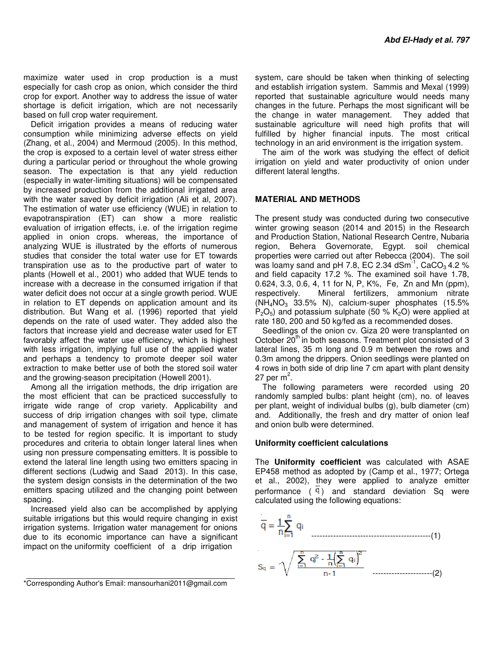maximize water used in crop production is a must especially for cash crop as onion, which consider the third crop for export. Another way to address the issue of water shortage is deficit irrigation, which are not necessarily based on full crop water requirement.

Deficit irrigation provides a means of reducing water consumption while minimizing adverse effects on yield (Zhang, et al., 2004) and Mermoud (2005). In this method, the crop is exposed to a certain level of water stress either during a particular period or throughout the whole growing season. The expectation is that any yield reduction (especially in water-limiting situations) will be compensated by increased production from the additional irrigated area with the water saved by deficit irrigation (Ali et al, 2007). The estimation of water use efficiency (WUE) in relation to evapotranspiration (ET) can show a more realistic evaluation of irrigation effects, i.e. of the irrigation regime applied in onion crops. whereas, the importance of analyzing WUE is illustrated by the efforts of numerous studies that consider the total water use for ET towards transpiration use as to the productive part of water to plants (Howell et al., 2001) who added that WUE tends to increase with a decrease in the consumed irrigation if that water deficit does not occur at a single growth period. WUE in relation to ET depends on application amount and its distribution. But Wang et al. (1996) reported that yield depends on the rate of used water. They added also the factors that increase yield and decrease water used for ET favorably affect the water use efficiency, which is highest with less irrigation, implying full use of the applied water and perhaps a tendency to promote deeper soil water extraction to make better use of both the stored soil water and the growing-season precipitation (Howell 2001).

Among all the irrigation methods, the drip irrigation are the most efficient that can be practiced successfully to irrigate wide range of crop variety. Applicability and success of drip irrigation changes with soil type, climate and management of system of irrigation and hence it has to be tested for region specific. It is important to study procedures and criteria to obtain longer lateral lines when using non pressure compensating emitters. It is possible to extend the lateral line length using two emitters spacing in different sections (Ludwig and Saad 2013). In this case, the system design consists in the determination of the two emitters spacing utilized and the changing point between spacing.

Increased yield also can be accomplished by applying suitable irrigations but this would require changing in exist irrigation systems. Irrigation water management for onions due to its economic importance can have a significant impact on the uniformity coefficient of a drip irrigation

The aim of the work was studying the effect of deficit irrigation on yield and water productivity of onion under different lateral lengths.

## **MATERIAL AND METHODS**

The present study was conducted during two consecutive winter growing season (2014 and 2015) in the Research and Production Station, National Research Centre, Nubaria region, Behera Governorate, Egypt. soil chemical properties were carried out after Rebecca (2004). The soil was loamy sand and pH 7.8, EC 2.34 dSm<sup>-1</sup>, CaCO<sub>3</sub> 4.2 % and field capacity 17.2 %. The examined soil have 1.78, 0.624, 3.3, 0.6, 4, 11 for N, P, K%, Fe, Zn and Mn (ppm), respectively. Mineral fertilizers, ammonium nitrate  $(NH_4NO_3$  33.5% N), calcium-super phosphates (15.5%  $P_2O_5$ ) and potassium sulphate (50 % K<sub>2</sub>O) were applied at rate 180, 200 and 50 kg/fed as a recommended doses.

Seedlings of the onion cv. Giza 20 were transplanted on October  $20<sup>th</sup>$  in both seasons. Treatment plot consisted of 3 lateral lines, 35 m long and 0.9 m between the rows and 0.3m among the drippers. Onion seedlings were planted on 4 rows in both side of drip line 7 cm apart with plant density 27 per m $^2\mskip-5mu.$ 

The following parameters were recorded using 20 randomly sampled bulbs: plant height (cm), no. of leaves per plant, weight of individual bulbs (g), bulb diameter (cm) and. Additionally, the fresh and dry matter of onion leaf and onion bulb were determined.

### **Uniformity coefficient calculations**

The **Uniformity coefficient** was calculated with ASAE EP458 method as adopted by (Camp et al., 1977; Ortega et al., 2002), they were applied to analyze emitter performance  $(9)$  and standard deviation Sq were calculated using the following equations:



<sup>\*</sup>Corresponding Author's Email: mansourhani2011@gmail.com

system, care should be taken when thinking of selecting and establish irrigation system. Sammis and Mexal (1999) reported that sustainable agriculture would needs many changes in the future. Perhaps the most significant will be the change in water management. They added that sustainable agriculture will need high profits that will fulfilled by higher financial inputs. The most critical technology in an arid environment is the irrigation system.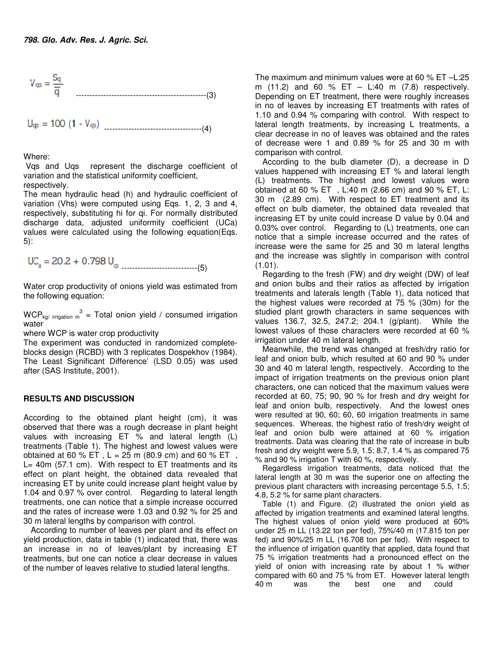$$
V_{qs} = \frac{S_q}{\overline{q}}
$$
 100 cm<sup>2</sup> cm<sup>2</sup> cm<sup>2</sup> cm<sup>2</sup> cm<sup>2</sup> cm<sup>2</sup> cm<sup>2</sup> cm<sup>2</sup> cm<sup>2</sup> cm<sup>2</sup> cm<sup>2</sup> cm<sup>2</sup> cm<sup>2</sup> cm<sup>2</sup> cm<sup>2</sup> cm<sup>2</sup> cm<sup>2</sup> cm<sup>2</sup> cm<sup>2</sup> cm<sup>2</sup> cm<sup>2</sup> cm<sup>2</sup> cm<sup>2</sup> cm<sup>2</sup> cm<sup>2</sup> cm<sup>2</sup> cm<sup>2</sup> cm<sup>2</sup> cm<sup>2</sup> cm<sup>2</sup> cm<sup>2</sup> cm<sup>2</sup> cm<sup>2</sup> cm<sup>2</sup> cm<sup>2</sup> cm<sup>2</sup> cm<sup>2</sup> cm<sup>2</sup> cm<sup>2</sup> cm<sup>2</sup> cm<sup>2</sup> cm<sup>2</sup> cm<sup>2</sup> cm<sup>2</sup> cm<sup>2</sup> cm<sup>2</sup> cm<sup>2</sup> cm<sup>2</sup> cm<sup>2</sup> cm<sup>2</sup> cm<sup>2</sup> cm<sup>2</sup> cm<sup>2</sup> cm<sup>2</sup> cm<sup>2</sup> cm<sup>2</sup> cm<sup>2</sup> cm<sup>2</sup> cm<sup>2</sup> cm<sup>2</sup> cm<sup>2</sup> cm<sup>2</sup> cm<sup>2</sup> cm<sup>2</sup> cm<sup>2</sup> cm<sup>2</sup> cm<sup>2</sup> cm<sup>2</sup> cm<sup>2</sup> cm<sup>2</sup> cm<sup>2</sup> cm<sup>2</sup> cm<sup>2</sup> cm<sup>2</sup> cm<sup>2</sup> cm<sup>2</sup> cm<sup>2</sup> cm<sup>2</sup> cm<sup>2</sup> cm<sup>2</sup> cm<sup>2</sup> cm<sup>2</sup> cm<sup>2</sup> cm<sup>2</sup> cm<sup>2</sup> cm<sup>2</sup> cm<sup>2</sup> cm<sup>2</sup> cm<sup>2</sup> cm<sup>2</sup> cm<sup>2</sup> cm<sup>2</sup>

$$
U_{qs} = 100 (1 - V_{qs})
$$
 \n $\dots \dots \dots \dots \dots \dots \dots \dots \dots \dots \dots \dots (4)$ 

Where:

 Vqs and Uqs represent the discharge coefficient of variation and the statistical uniformity coefficient,

respectively.

The mean hydraulic head (h) and hydraulic coefficient of variation (Vhs) were computed using Eqs. 1, 2, 3 and 4, respectively, substituting hi for qi. For normally distributed discharge data, adjusted uniformity coefficient (UCa) values were calculated using the following equation(Eqs. 5):

----------------------------(5)

Water crop productivity of onions yield was estimated from the following equation:

WCP<sub>kg</sub>/ irrigation  $m^3$  = Total onion yield / consumed irrigation water

where WCP is water crop productivity

The experiment was conducted in randomized completeblocks design (RCBD) with 3 replicates Dospekhov (1984). The Least Significant Difference' (LSD 0.05) was used after (SAS Institute, 2001).

## **RESULTS AND DISCUSSION**

According to the obtained plant height (cm), it was observed that there was a rough decrease in plant height values with increasing ET % and lateral length (L) treatments (Table 1). The highest and lowest values were obtained at 60 % ET,  $L = 25$  m (80.9 cm) and 60 % ET, L= 40m (57.1 cm). With respect to ET treatments and its effect on plant height, the obtained data revealed that increasing ET by unite could increase plant height value by 1.04 and 0.97 % over control. Regarding to lateral length treatments, one can notice that a simple increase occurred and the rates of increase were 1.03 and 0.92 % for 25 and 30 m lateral lengths by comparison with control.

According to number of leaves per plant and its effect on yield production, data in table (1) indicated that, there was an increase in no of leaves/plant by increasing ET treatments, but one can notice a clear decrease in values of the number of leaves relative to studied lateral lengths.

The maximum and minimum values were at 60 % ET –L:25 m  $(11.2)$  and 60 % ET – L:40 m  $(7.8)$  respectively. Depending on ET treatment, there were roughly increases in no of leaves by increasing ET treatments with rates of 1.10 and 0.94 % comparing with control. With respect to lateral length treatments, by increasing L treatments, a clear decrease in no of leaves was obtained and the rates of decrease were 1 and 0.89 % for 25 and 30 m with comparison with control.

According to the bulb diameter (D), a decrease in D values happened with increasing ET % and lateral length (L) treatments. The highest and lowest values were obtained at 60 % ET, L:40 m (2.66 cm) and 90 % ET, L: 30 m (2.89 cm). With respect to ET treatment and its effect on bulb diameter, the obtained data revealed that increasing ET by unite could increase D value by 0.04 and 0.03% over control. Regarding to (L) treatments, one can notice that a simple increase occurred and the rates of increase were the same for 25 and 30 m lateral lengths and the increase was slightly in comparison with control (1.01).

Regarding to the fresh (FW) and dry weight (DW) of leaf and onion bulbs and their ratios as affected by irrigation treatments and laterals length (Table 1), data noticed that the highest values were recorded at 75 % (30m) for the studied plant growth characters in same sequences with values 136.7, 32.5, 247.2; 204.1 (g/plant). While the lowest values of those characters were recorded at 60 % irrigation under 40 m lateral length.

Meanwhile, the trend was changed at fresh/dry ratio for leaf and onion bulb, which resulted at 60 and 90 % under 30 and 40 m lateral length, respectively. According to the impact of irrigation treatments on the previous onion plant characters, one can noticed that the maximum values were recorded at 60, 75; 90, 90 % for fresh and dry weight for leaf and onion bulb, respectively. And the lowest ones were resulted at 90, 60; 60, 60 irrigation treatments in same sequences. Whereas, the highest ratio of fresh/dry weight of leaf and onion bulb were attained at 60 % irrigation treatments. Data was clearing that the rate of increase in bulb fresh and dry weight were 5.9, 1.5; 8.7, 1.4 % as compared 75 % and 90 % irrigation T with 60 %, respectively.

Regardless irrigation treatments, data noticed that the lateral length at 30 m was the superior one on affecting the previous plant characters with increasing percentage 5.5, 1.5; 4.8, 5.2 % for same plant characters.

Table (1) and Figure. (2) illustrated the onion yield as affected by irrigation treatments and examined lateral lengths. The highest values of onion yield were produced at 60% under 25 m LL (13.22 ton per fed), 75%/40 m (17.815 ton per fed) and 90%/25 m LL (16.708 ton per fed). With respect to the influence of irrigation quantity that applied, data found that 75 % irrigation treatments had a pronounced effect on the yield of onion with increasing rate by about 1 % wither compared with 60 and 75 % from ET. However lateral length 40 m was the best one and could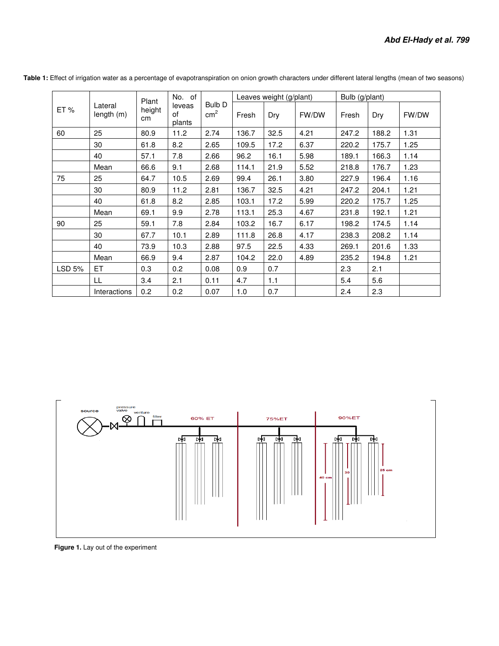| ET%    | Lateral<br>length (m) | Plant<br>height<br>cm | No. of<br>leveas<br>οf<br>plants | Bulb D<br>cm <sup>2</sup> | Leaves weight (g/plant) |      |       | Bulb (g/plant) |       |       |
|--------|-----------------------|-----------------------|----------------------------------|---------------------------|-------------------------|------|-------|----------------|-------|-------|
|        |                       |                       |                                  |                           | Fresh                   | Dry  | FW/DW | Fresh          | Dry   | FW/DW |
| 60     | 25                    | 80.9                  | 11.2                             | 2.74                      | 136.7                   | 32.5 | 4.21  | 247.2          | 188.2 | 1.31  |
|        | 30                    | 61.8                  | 8.2                              | 2.65                      | 109.5                   | 17.2 | 6.37  | 220.2          | 175.7 | 1.25  |
|        | 40                    | 57.1                  | 7.8                              | 2.66                      | 96.2                    | 16.1 | 5.98  | 189.1          | 166.3 | 1.14  |
|        | Mean                  | 66.6                  | 9.1                              | 2.68                      | 114.1                   | 21.9 | 5.52  | 218.8          | 176.7 | 1.23  |
| 75     | 25                    | 64.7                  | 10.5                             | 2.69                      | 99.4                    | 26.1 | 3.80  | 227.9          | 196.4 | 1.16  |
|        | 30                    | 80.9                  | 11.2                             | 2.81                      | 136.7                   | 32.5 | 4.21  | 247.2          | 204.1 | 1.21  |
|        | 40                    | 61.8                  | 8.2                              | 2.85                      | 103.1                   | 17.2 | 5.99  | 220.2          | 175.7 | 1.25  |
|        | Mean                  | 69.1                  | 9.9                              | 2.78                      | 113.1                   | 25.3 | 4.67  | 231.8          | 192.1 | 1.21  |
| 90     | 25                    | 59.1                  | 7.8                              | 2.84                      | 103.2                   | 16.7 | 6.17  | 198.2          | 174.5 | 1.14  |
|        | 30                    | 67.7                  | 10.1                             | 2.89                      | 111.8                   | 26.8 | 4.17  | 238.3          | 208.2 | 1.14  |
|        | 40                    | 73.9                  | 10.3                             | 2.88                      | 97.5                    | 22.5 | 4.33  | 269.1          | 201.6 | 1.33  |
|        | Mean                  | 66.9                  | 9.4                              | 2.87                      | 104.2                   | 22.0 | 4.89  | 235.2          | 194.8 | 1.21  |
| LSD 5% | ET                    | 0.3                   | 0.2                              | 0.08                      | 0.9                     | 0.7  |       | 2.3            | 2.1   |       |
|        | LL                    | 3.4                   | 2.1                              | 0.11                      | 4.7                     | 1.1  |       | 5.4            | 5.6   |       |
|        | Interactions          | 0.2                   | 0.2                              | 0.07                      | 1.0                     | 0.7  |       | 2.4            | 2.3   |       |

**Table 1:** Effect of irrigation water as a percentage of evapotranspiration on onion growth characters under different lateral lengths (mean of two seasons)



 **Figure 1.** Lay out of the experiment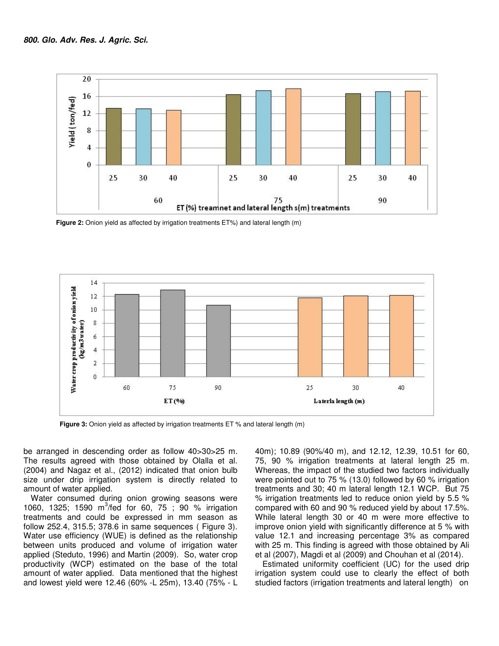

 **Figure 2:** Onion yield as affected by irrigation treatments ET%) and lateral length (m)



 **Figure 3:** Onion yield as affected by irrigation treatments ET % and lateral length (m)

be arranged in descending order as follow 40>30>25 m. The results agreed with those obtained by Olalla et al. (2004) and Nagaz et al., (2012) indicated that onion bulb size under drip irrigation system is directly related to amount of water applied.

Water consumed during onion growing seasons were 1060, 1325; 1590 m<sup>3</sup>/fed for 60, 75; 90 % irrigation treatments and could be expressed in mm season as follow 252.4, 315.5; 378.6 in same sequences ( Figure 3). Water use efficiency (WUE) is defined as the relationship between units produced and volume of irrigation water applied (Steduto, 1996) and Martin (2009). So, water crop productivity (WCP) estimated on the base of the total amount of water applied. Data mentioned that the highest and lowest yield were 12.46 (60% -L 25m), 13.40 (75% - L

40m); 10.89 (90%/40 m), and 12.12, 12.39, 10.51 for 60, 75, 90 % irrigation treatments at lateral length 25 m. Whereas, the impact of the studied two factors individually were pointed out to 75 % (13.0) followed by 60 % irrigation treatments and 30; 40 m lateral length 12.1 WCP. But 75 % irrigation treatments led to reduce onion yield by 5.5 % compared with 60 and 90 % reduced yield by about 17.5%. While lateral length 30 or 40 m were more effective to improve onion yield with significantly difference at 5 % with value 12.1 and increasing percentage 3% as compared with 25 m. This finding is agreed with those obtained by Ali et al (2007), Magdi et al (2009) and Chouhan et al (2014).

Estimated uniformity coefficient (UC) for the used drip irrigation system could use to clearly the effect of both studied factors (irrigation treatments and lateral length) on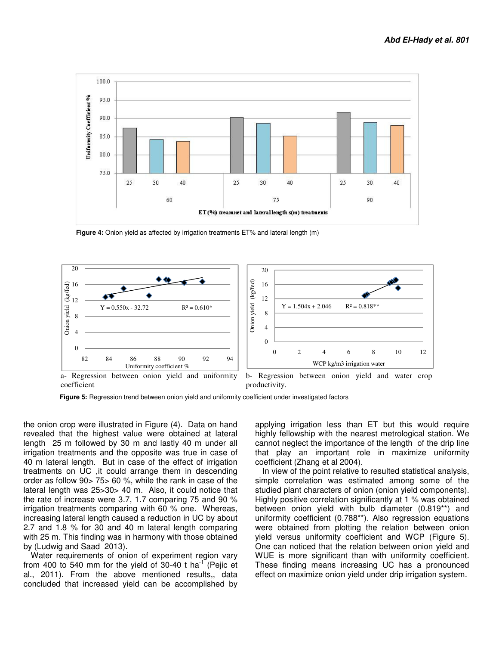

**Figure 4:** Onion yield as affected by irrigation treatments ET% and lateral length (m)



coefficient productivity.

 **Figure 5:** Regression trend between onion yield and uniformity coefficient under investigated factors

the onion crop were illustrated in Figure (4). Data on hand revealed that the highest value were obtained at lateral length 25 m followed by 30 m and lastly 40 m under all irrigation treatments and the opposite was true in case of 40 m lateral length. But in case of the effect of irrigation treatments on UC ,it could arrange them in descending order as follow 90> 75> 60 %, while the rank in case of the lateral length was 25>30> 40 m. Also, it could notice that the rate of increase were 3.7, 1.7 comparing 75 and 90 % irrigation treatments comparing with 60 % one. Whereas, increasing lateral length caused a reduction in UC by about 2.7 and 1.8 % for 30 and 40 m lateral length comparing with 25 m. This finding was in harmony with those obtained by (Ludwig and Saad 2013).

Water requirements of onion of experiment region vary from 400 to 540 mm for the yield of 30-40 t ha<sup>-1</sup> (Pejic et al., 2011). From the above mentioned results,, data concluded that increased yield can be accomplished by applying irrigation less than ET but this would require highly fellowship with the nearest metrological station. We cannot neglect the importance of the length of the drip line that play an important role in maximize uniformity coefficient (Zhang et al 2004).

In view of the point relative to resulted statistical analysis, simple correlation was estimated among some of the studied plant characters of onion (onion yield components). Highly positive correlation significantly at 1 % was obtained between onion yield with bulb diameter (0.819\*\*) and uniformity coefficient (0.788\*\*). Also regression equations were obtained from plotting the relation between onion yield versus uniformity coefficient and WCP (Figure 5). One can noticed that the relation between onion yield and WUE is more significant than with uniformity coefficient. These finding means increasing UC has a pronounced effect on maximize onion yield under drip irrigation system.